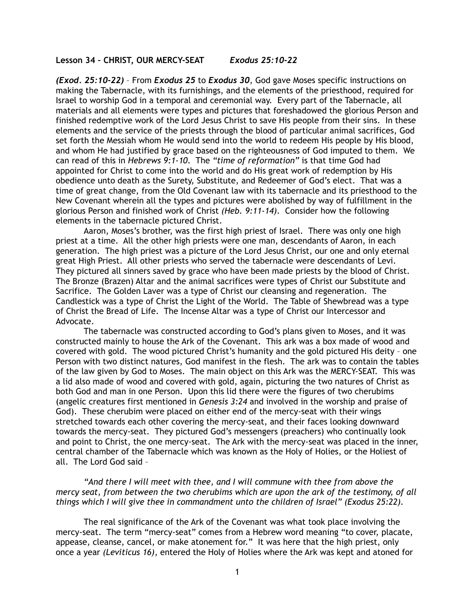## **Lesson 34 – CHRIST, OUR MERCY-SEAT** *Exodus 25:10-22*

*(Exod. 25:10-22)* – From *Exodus 25* to *Exodus 30*, God gave Moses specific instructions on making the Tabernacle, with its furnishings, and the elements of the priesthood, required for Israel to worship God in a temporal and ceremonial way. Every part of the Tabernacle, all materials and all elements were types and pictures that foreshadowed the glorious Person and finished redemptive work of the Lord Jesus Christ to save His people from their sins. In these elements and the service of the priests through the blood of particular animal sacrifices, God set forth the Messiah whom He would send into the world to redeem His people by His blood, and whom He had justified by grace based on the righteousness of God imputed to them. We can read of this in *Hebrews 9:1-10*. The *"time of reformation"* is that time God had appointed for Christ to come into the world and do His great work of redemption by His obedience unto death as the Surety, Substitute, and Redeemer of God's elect. That was a time of great change, from the Old Covenant law with its tabernacle and its priesthood to the New Covenant wherein all the types and pictures were abolished by way of fulfillment in the glorious Person and finished work of Christ *(Heb. 9:11-14)*. Consider how the following elements in the tabernacle pictured Christ.

 Aaron, Moses's brother, was the first high priest of Israel. There was only one high priest at a time. All the other high priests were one man, descendants of Aaron, in each generation. The high priest was a picture of the Lord Jesus Christ, our one and only eternal great High Priest. All other priests who served the tabernacle were descendants of Levi. They pictured all sinners saved by grace who have been made priests by the blood of Christ. The Bronze (Brazen) Altar and the animal sacrifices were types of Christ our Substitute and Sacrifice. The Golden Laver was a type of Christ our cleansing and regeneration. The Candlestick was a type of Christ the Light of the World. The Table of Shewbread was a type of Christ the Bread of Life. The Incense Altar was a type of Christ our Intercessor and Advocate.

 The tabernacle was constructed according to God's plans given to Moses, and it was constructed mainly to house the Ark of the Covenant. This ark was a box made of wood and covered with gold. The wood pictured Christ's humanity and the gold pictured His deity – one Person with two distinct natures, God manifest in the flesh. The ark was to contain the tables of the law given by God to Moses. The main object on this Ark was the MERCY-SEAT. This was a lid also made of wood and covered with gold, again, picturing the two natures of Christ as both God and man in one Person. Upon this lid there were the figures of two cherubims (angelic creatures first mentioned in *Genesis 3:24* and involved in the worship and praise of God). These cherubim were placed on either end of the mercy-seat with their wings stretched towards each other covering the mercy-seat, and their faces looking downward towards the mercy-seat. They pictured God's messengers (preachers) who continually look and point to Christ, the one mercy-seat. The Ark with the mercy-seat was placed in the inner, central chamber of the Tabernacle which was known as the Holy of Holies, or the Holiest of all. The Lord God said –

*"And there I will meet with thee, and I will commune with thee from above the mercy seat, from between the two cherubims which are upon the ark of the testimony, of all things which I will give thee in commandment unto the children of Israel" (Exodus 25:22).*

The real significance of the Ark of the Covenant was what took place involving the mercy-seat. The term "mercy-seat" comes from a Hebrew word meaning "to cover, placate, appease, cleanse, cancel, or make atonement for." It was here that the high priest, only once a year *(Leviticus 16)*, entered the Holy of Holies where the Ark was kept and atoned for